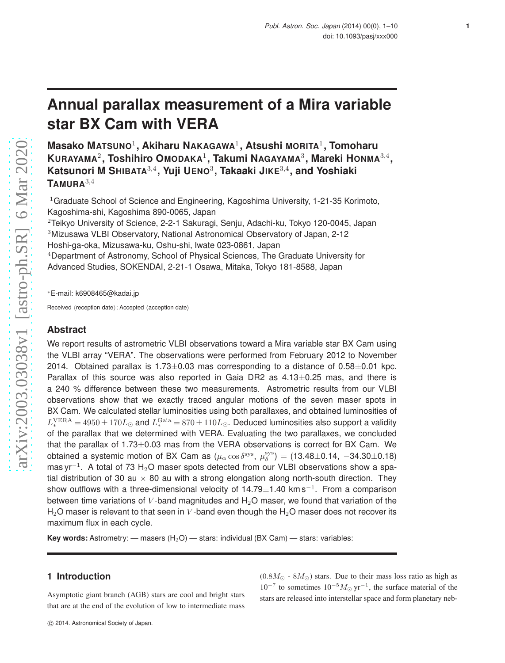# **Annual parallax measurement of a Mira variable star BX Cam with VERA**

**Masako MATSUNO**<sup>1</sup> **, Akiharu NAKAGAWA**<sup>1</sup> **, Atsushi MORITA**<sup>1</sup> **, Tomoharu KURAYAMA**<sup>2</sup> **, Toshihiro OMODAKA**<sup>1</sup> **, Takumi NAGAYAMA**<sup>3</sup> **, Mareki HONMA**3,<sup>4</sup> **, Katsunori M SHIBATA**3,<sup>4</sup> **, Yuji UENO**<sup>3</sup> **, Takaaki JIKE**3,<sup>4</sup> **, and Yoshiaki TAMURA**3,<sup>4</sup>

<sup>1</sup>Graduate School of Science and Engineering, Kagoshima University, 1-21-35 Korimoto, Kagoshima-shi, Kagoshima 890-0065, Japan

Teikyo University of Science, 2-2-1 Sakuragi, Senju, Adachi-ku, Tokyo 120-0045, Japan Mizusawa VLBI Observatory, National Astronomical Observatory of Japan, 2-12 Hoshi-ga-oka, Mizusawa-ku, Oshu-shi, Iwate 023-0861, Japan Department of Astronomy, School of Physical Sciences, The Graduate University for

Advanced Studies, SOKENDAI, 2-21-1 Osawa, Mitaka, Tokyo 181-8588, Japan

<sup>∗</sup>E-mail: k6908465@kadai.jp

Received (reception date); Accepted (acception date)

## **Abstract**

We report results of astrometric VLBI observations toward a Mira variable star BX Cam using the VLBI array "VERA". The observations were performed from February 2012 to November 2014. Obtained parallax is  $1.73\pm0.03$  mas corresponding to a distance of  $0.58\pm0.01$  kpc. Parallax of this source was also reported in Gaia DR2 as  $4.13\pm0.25$  mas, and there is a 240 % difference between these two measurements. Astrometric results from our VLBI observations show that we exactly traced angular motions of the seven maser spots in BX Cam. We calculated stellar luminosities using both parallaxes, and obtained luminosities of  $L_*^{\rm VERA}=4950\pm170L_\odot$  and  $L_*^{\rm Gaia}=870\pm110L_\odot$ . Deduced luminosities also support a validity of the parallax that we determined with VERA. Evaluating the two parallaxes, we concluded that the parallax of  $1.73\pm0.03$  mas from the VERA observations is correct for BX Cam. We obtained a systemic motion of BX Cam as  $(\mu_\alpha\cos\delta^\mathrm{sys},\ \mu_\delta^\mathrm{sys})=(13.48{\pm}0.14,\ -34.30{\pm}0.18)$ mas yr $^{-1}$ . A total of 73 H<sub>2</sub>O maser spots detected from our VLBI observations show a spatial distribution of 30 au  $\times$  80 au with a strong elongation along north-south direction. They show outflows with a three-dimensional velocity of 14.79 $\pm$ 1.40 km s<sup>-1</sup>. From a comparison between time variations of V-band magnitudes and  $H<sub>2</sub>O$  maser, we found that variation of the  $H_2O$  maser is relevant to that seen in V-band even though the  $H_2O$  maser does not recover its maximum flux in each cycle.

**Key words:** Astrometry: — masers  $(H_2O)$  — stars: individual (BX Cam) — stars: variables:

# **1 Introduction**

Asymptotic giant branch (AGB) stars are cool and bright stars that are at the end of the evolution of low to intermediate mass

 $(0.8M_{\odot} \cdot 8M_{\odot})$  stars. Due to their mass loss ratio as high as  $10^{-7}$  to sometimes  $10^{-5} M_{\odot}$  yr<sup>-1</sup>, the surface material of the stars are released into interstellar space and form planetary neb**1**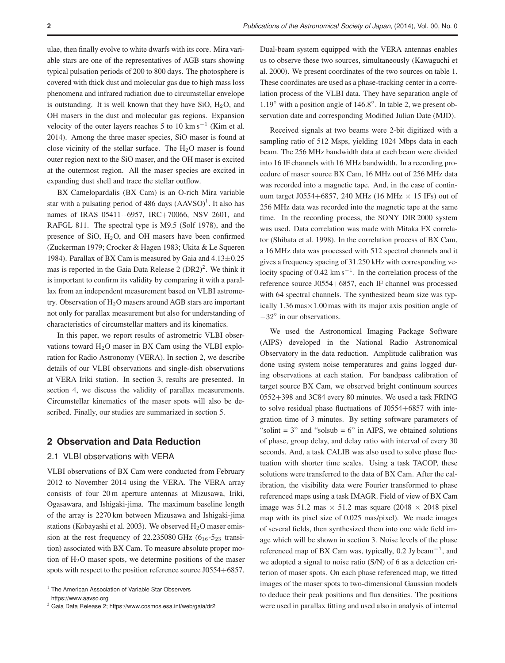ulae, then finally evolve to white dwarfs with its core. Mira variable stars are one of the representatives of AGB stars showing typical pulsation periods of 200 to 800 days. The photosphere is covered with thick dust and molecular gas due to high mass loss phenomena and infrared radiation due to circumstellar envelope is outstanding. It is well known that they have SiO,  $H<sub>2</sub>O$ , and OH masers in the dust and molecular gas regions. Expansion velocity of the outer layers reaches 5 to 10 km s<sup> $-1$ </sup> (Kim et al. 2014). Among the three maser species, SiO maser is found at close vicinity of the stellar surface. The  $H_2O$  maser is found outer region next to the SiO maser, and the OH maser is excited at the outermost region. All the maser species are excited in expanding dust shell and trace the stellar outflow.

BX Camelopardalis (BX Cam) is an O-rich Mira variable star with a pulsating period of  $486$  days  $(AAVSO)^1$ . It also has names of IRAS 05411+6957, IRC+70066, NSV 2601, and RAFGL 811. The spectral type is M9.5 (Solf 1978), and the presence of SiO, H2O, and OH masers have been confirmed (Zuckerman 1979; Crocker & Hagen 1983; Ukita & Le Squeren 1984). Parallax of BX Cam is measured by Gaia and  $4.13\pm0.25$ mas is reported in the Gaia Data Release  $2 (DR2)^2$ . We think it is important to confirm its validity by comparing it with a parallax from an independent measurement based on VLBI astrometry. Observation of H2O masers around AGB stars are important not only for parallax measurement but also for understanding of characteristics of circumstellar matters and its kinematics.

In this paper, we report results of astrometric VLBI observations toward  $H_2O$  maser in BX Cam using the VLBI exploration for Radio Astronomy (VERA). In section 2, we describe details of our VLBI observations and single-dish observations at VERA Iriki station. In section 3, results are presented. In section 4, we discuss the validity of parallax measurements. Circumstellar kinematics of the maser spots will also be described. Finally, our studies are summarized in section 5.

# **2 Observation and Data Reduction**

## 2.1 VLBI observations with VERA

VLBI observations of BX Cam were conducted from February 2012 to November 2014 using the VERA. The VERA array consists of four 20 m aperture antennas at Mizusawa, Iriki, Ogasawara, and Ishigaki-jima. The maximum baseline length of the array is 2270 km between Mizusawa and Ishigaki-jima stations (Kobayashi et al. 2003). We observed  $H_2O$  maser emission at the rest frequency of  $22.235080 \text{ GHz}$  (6<sub>16</sub>-5<sub>23</sub> transition) associated with BX Cam. To measure absolute proper motion of  $H_2O$  maser spots, we determine positions of the maser spots with respect to the position reference source J0554+6857.

Dual-beam system equipped with the VERA antennas enables us to observe these two sources, simultaneously (Kawaguchi et al. 2000). We present coordinates of the two sources on table 1. These coordinates are used as a phase-tracking center in a correlation process of the VLBI data. They have separation angle of 1.19◦ with a position angle of 146.8◦ . In table 2, we present observation date and corresponding Modified Julian Date (MJD).

Received signals at two beams were 2-bit digitized with a sampling ratio of 512 Msps, yielding 1024 Mbps data in each beam. The 256 MHz bandwidth data at each beam were divided into 16 IF channels with 16 MHz bandwidth. In a recording procedure of maser source BX Cam, 16 MHz out of 256 MHz data was recorded into a magnetic tape. And, in the case of continuum target J0554+6857, 240 MHz (16 MHz  $\times$  15 IFs) out of 256 MHz data was recorded into the magnetic tape at the same time. In the recording process, the SONY DIR 2000 system was used. Data correlation was made with Mitaka FX correlator (Shibata et al. 1998). In the correlation process of BX Cam, a 16 MHz data was processed with 512 spectral channels and it gives a frequency spacing of 31.250 kHz with corresponding velocity spacing of  $0.42 \text{ km s}^{-1}$ . In the correlation process of the reference source J0554+6857, each IF channel was processed with 64 spectral channels. The synthesized beam size was typically  $1.36 \text{ mas} \times 1.00 \text{ mas}$  with its major axis position angle of −32◦ in our observations.

We used the Astronomical Imaging Package Software (AIPS) developed in the National Radio Astronomical Observatory in the data reduction. Amplitude calibration was done using system noise temperatures and gains logged during observations at each station. For bandpass calibration of target source BX Cam, we observed bright continuum sources 0552+398 and 3C84 every 80 minutes. We used a task FRING to solve residual phase fluctuations of J0554+6857 with integration time of 3 minutes. By setting software parameters of "solint  $= 3$ " and "solsub  $= 6$ " in AIPS, we obtained solutions of phase, group delay, and delay ratio with interval of every 30 seconds. And, a task CALIB was also used to solve phase fluctuation with shorter time scales. Using a task TACOP, these solutions were transferred to the data of BX Cam. After the calibration, the visibility data were Fourier transformed to phase referenced maps using a task IMAGR. Field of view of BX Cam image was 51.2 mas  $\times$  51.2 mas square (2048  $\times$  2048 pixel map with its pixel size of 0.025 mas/pixel). We made images of several fields, then synthesized them into one wide field image which will be shown in section 3. Noise levels of the phase referenced map of BX Cam was, typically,  $0.2$  Jy beam<sup>-1</sup>, and we adopted a signal to noise ratio (S/N) of 6 as a detection criterion of maser spots. On each phase referenced map, we fitted images of the maser spots to two-dimensional Gaussian models to deduce their peak positions and flux densities. The positions were used in parallax fitting and used also in analysis of internal

<sup>&</sup>lt;sup>1</sup> The American Association of Variable Star Observers https://www.aavso.org

<sup>2</sup> Gaia Data Release 2; https://www.cosmos.esa.int/web/gaia/dr2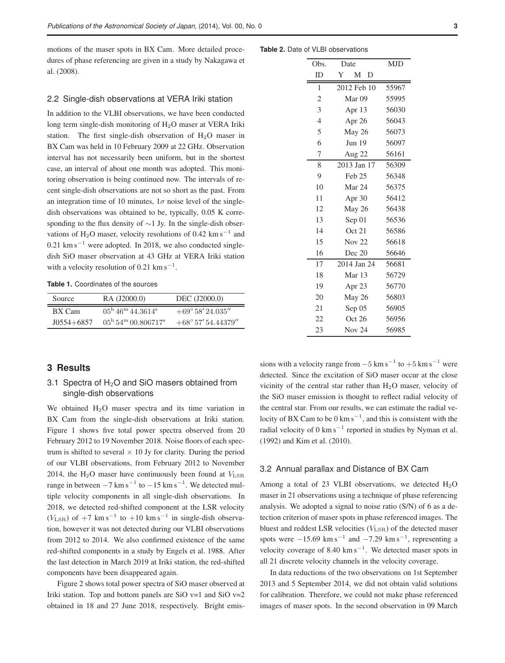motions of the maser spots in BX Cam. More detailed procedures of phase referencing are given in a study by Nakagawa et al. (2008).

#### 2.2 Single-dish observations at VERA Iriki station

In addition to the VLBI observations, we have been conducted long term single-dish monitoring of  $H<sub>2</sub>O$  maser at VERA Iriki station. The first single-dish observation of H2O maser in BX Cam was held in 10 February 2009 at 22 GHz. Observation interval has not necessarily been uniform, but in the shortest case, an interval of about one month was adopted. This monitoring observation is being continued now. The intervals of recent single-dish observations are not so short as the past. From an integration time of 10 minutes,  $1\sigma$  noise level of the singledish observations was obtained to be, typically, 0.05 K corresponding to the flux density of ∼1 Jy. In the single-dish observations of H<sub>2</sub>O maser, velocity resolutions of 0.42 km s<sup> $-1$ </sup> and  $0.21$  km s<sup> $-1$ </sup> were adopted. In 2018, we also conducted singledish SiO maser observation at 43 GHz at VERA Iriki station with a velocity resolution of  $0.21 \text{ km s}^{-1}$ .

**Table 1.** Coordinates of the sources

| Source            | RA (J2000.0)                                         | DEC (J2000.0)                |  |  |  |
|-------------------|------------------------------------------------------|------------------------------|--|--|--|
| BX Cam            | $05^{\rm h}$ 46 <sup>m</sup> 44.3614 <sup>s</sup>    | $+69^{\circ} 58' 24.035''$   |  |  |  |
| $J(0.554 + 6857)$ | $0.5^{\rm h}$ 54 <sup>m</sup> 00.806717 <sup>s</sup> | $+68^{\circ} 57' 54.44379''$ |  |  |  |

#### **Table 2.** Date of VLBI observations

| Obs.           | Date              | <b>MJD</b> |  |  |  |  |
|----------------|-------------------|------------|--|--|--|--|
| ID             | Y<br>M<br>D       |            |  |  |  |  |
|                |                   |            |  |  |  |  |
| 1              | 2012 Feb 10       | 55967      |  |  |  |  |
| $\overline{c}$ | Mar <sub>09</sub> | 55995      |  |  |  |  |
| 3              | Apr $13$          | 56030      |  |  |  |  |
| $\overline{4}$ | Apr 26            | 56043      |  |  |  |  |
| 5              | May 26            | 56073      |  |  |  |  |
| 6              | <b>Jun 19</b>     | 56097      |  |  |  |  |
| 7              | Aug 22            | 56161      |  |  |  |  |
| 8              | 2013 Jan 17       | 56309      |  |  |  |  |
| 9              | Feb <sub>25</sub> | 56348      |  |  |  |  |
| 10             | Mar 24            | 56375      |  |  |  |  |
| 11             | Apr 30            | 56412      |  |  |  |  |
| 12             | May 26            | 56438      |  |  |  |  |
| 13             | Sep 01            | 56536      |  |  |  |  |
| 14             | Oct 21            | 56586      |  |  |  |  |
| 15             | <b>Nov 22</b>     | 56618      |  |  |  |  |
| 16             | Dec 20            | 56646      |  |  |  |  |
| 17             | 2014 Jan 24       | 56681      |  |  |  |  |
| 18             | Mar 13            | 56729      |  |  |  |  |
| 19             | Apr 23            | 56770      |  |  |  |  |
| 20             | May 26            | 56803      |  |  |  |  |
| 21             | Sep 05            | 56905      |  |  |  |  |
| 22             | Oct 26            | 56956      |  |  |  |  |
| 23             | <b>Nov 24</b>     | 56985      |  |  |  |  |

## **3 Results**

# 3.1 Spectra of  $H_2O$  and SiO masers obtained from single-dish observations

We obtained  $H_2O$  maser spectra and its time variation in BX Cam from the single-dish observations at Iriki station. Figure 1 shows five total power spectra observed from 20 February 2012 to 19 November 2018. Noise floors of each spectrum is shifted to several  $\times$  10 Jy for clarity. During the period of our VLBI observations, from February 2012 to November 2014, the H<sub>2</sub>O maser have continuously been found at  $V_{\rm LSR}$ range in between  $-7 \text{ km s}^{-1}$  to  $-15 \text{ km s}^{-1}$ . We detected multiple velocity components in all single-dish observations. In 2018, we detected red-shifted component at the LSR velocity  $(V_{\text{LSR}})$  of  $+7$  km s<sup>-1</sup> to  $+10$  km s<sup>-1</sup> in single-dish observation, however it was not detected during our VLBI observations from 2012 to 2014. We also confirmed existence of the same red-shifted components in a study by Engels et al. 1988. After the last detection in March 2019 at Iriki station, the red-shifted components have been disappeared again.

Figure 2 shows total power spectra of SiO maser observed at Iriki station. Top and bottom panels are SiO v=1 and SiO v=2 obtained in 18 and 27 June 2018, respectively. Bright emis-

sions with a velocity range from  $-5 \text{ km s}^{-1}$  to  $+5 \text{ km s}^{-1}$  were detected. Since the excitation of SiO maser occur at the close vicinity of the central star rather than H2O maser, velocity of the SiO maser emission is thought to reflect radial velocity of the central star. From our results, we can estimate the radial velocity of BX Cam to be  $0 \text{ km s}^{-1}$ , and this is consistent with the radial velocity of 0  $km s^{-1}$  reported in studies by Nyman et al. (1992) and Kim et al. (2010).

### 3.2 Annual parallax and Distance of BX Cam

Among a total of 23 VLBI observations, we detected  $H_2O$ maser in 21 observations using a technique of phase referencing analysis. We adopted a signal to noise ratio (S/N) of 6 as a detection criterion of maser spots in phase referenced images. The bluest and reddest LSR velocities  $(V_{\text{LSR}})$  of the detected maser spots were  $-15.69$  km s<sup>-1</sup> and  $-7.29$  km s<sup>-1</sup>, representing a velocity coverage of  $8.40 \text{ km s}^{-1}$ . We detected maser spots in all 21 discrete velocity channels in the velocity coverage.

In data reductions of the two observations on 1st September 2013 and 5 September 2014, we did not obtain valid solutions for calibration. Therefore, we could not make phase referenced images of maser spots. In the second observation in 09 March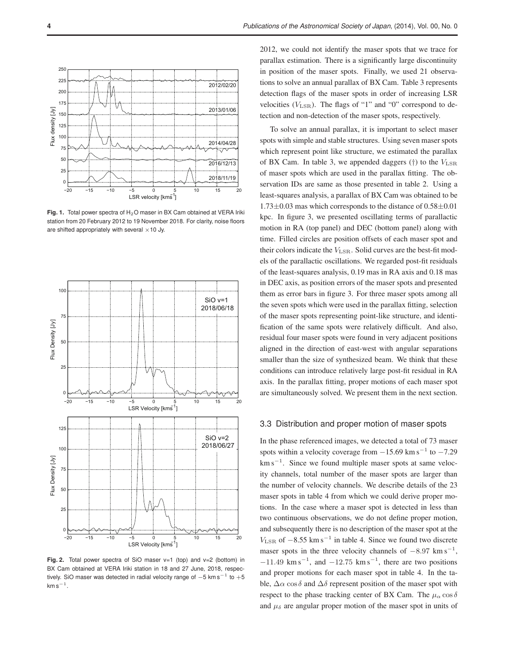

**Fig. 1.** Total power spectra of H<sub>2</sub>O maser in BX Cam obtained at VERA Iriki station from 20 February 2012 to 19 November 2018. For clarity, noise floors are shifted appropriately with several  $\times$  10 Jy.



**Fig. 2.** Total power spectra of SiO maser v=1 (top) and v=2 (bottom) in BX Cam obtained at VERA Iriki station in 18 and 27 June, 2018, respectively. SiO maser was detected in radial velocity range of  $-5$  km s $^{-1}$  to  $+5$  $km s^{-1}$  .

2012, we could not identify the maser spots that we trace for parallax estimation. There is a significantly large discontinuity in position of the maser spots. Finally, we used 21 observations to solve an annual parallax of BX Cam. Table 3 represents detection flags of the maser spots in order of increasing LSR velocities  $(V_{\rm LSR})$ . The flags of "1" and "0" correspond to detection and non-detection of the maser spots, respectively.

To solve an annual parallax, it is important to select maser spots with simple and stable structures. Using seven maser spots which represent point like structure, we estimated the parallax of BX Cam. In table 3, we appended daggers  $(\dagger)$  to the  $V_{\text{LSR}}$ of maser spots which are used in the parallax fitting. The observation IDs are same as those presented in table 2. Using a least-squares analysis, a parallax of BX Cam was obtained to be  $1.73\pm0.03$  mas which corresponds to the distance of  $0.58\pm0.01$ kpc. In figure 3, we presented oscillating terms of parallactic motion in RA (top panel) and DEC (bottom panel) along with time. Filled circles are position offsets of each maser spot and their colors indicate the  $V_{\rm LSR}$ . Solid curves are the best-fit models of the parallactic oscillations. We regarded post-fit residuals of the least-squares analysis, 0.19 mas in RA axis and 0.18 mas in DEC axis, as position errors of the maser spots and presented them as error bars in figure 3. For three maser spots among all the seven spots which were used in the parallax fitting, selection of the maser spots representing point-like structure, and identification of the same spots were relatively difficult. And also, residual four maser spots were found in very adjacent positions aligned in the direction of east-west with angular separations smaller than the size of synthesized beam. We think that these conditions can introduce relatively large post-fit residual in RA axis. In the parallax fitting, proper motions of each maser spot are simultaneously solved. We present them in the next section.

#### 3.3 Distribution and proper motion of maser spots

In the phase referenced images, we detected a total of 73 maser spots within a velocity coverage from  $-15.69$  km s<sup>-1</sup> to  $-7.29$ km s<sup>-1</sup>. Since we found multiple maser spots at same velocity channels, total number of the maser spots are larger than the number of velocity channels. We describe details of the 23 maser spots in table 4 from which we could derive proper motions. In the case where a maser spot is detected in less than two continuous observations, we do not define proper motion, and subsequently there is no description of the maser spot at the  $V_{\text{LSR}}$  of  $-8.55 \text{ km s}^{-1}$  in table 4. Since we found two discrete maser spots in the three velocity channels of  $-8.97 \text{ km s}^{-1}$ ,  $-11.49$  km s<sup>-1</sup>, and  $-12.75$  km s<sup>-1</sup>, there are two positions and proper motions for each maser spot in table 4. In the table,  $\Delta \alpha \cos \delta$  and  $\Delta \delta$  represent position of the maser spot with respect to the phase tracking center of BX Cam. The  $\mu_{\alpha}$  cos  $\delta$ and  $\mu_{\delta}$  are angular proper motion of the maser spot in units of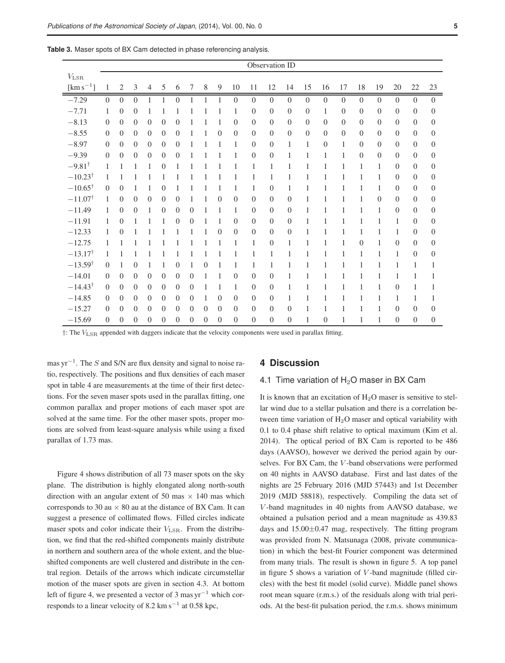|                         |                |                |                |                |                |                  |              |              |                |                |                | Observation ID |          |                |                |                |          |                |                  |                |                |
|-------------------------|----------------|----------------|----------------|----------------|----------------|------------------|--------------|--------------|----------------|----------------|----------------|----------------|----------|----------------|----------------|----------------|----------|----------------|------------------|----------------|----------------|
| $V_{\rm LSR}$           |                |                |                |                |                |                  |              |              |                |                |                |                |          |                |                |                |          |                |                  |                |                |
| $\mathrm{[km\,s^{-1}]}$ | $\mathbf{1}$   | 2              | 3              | $\overline{4}$ | 5              | 6                | 7            | $\,$ 8 $\,$  | 9              | 10             | 11             | 12             | 14       | 15             | 16             | 17             | 18       | 19             | 20               | 22             | $23\,$         |
| $-7.29$                 | $\Omega$       | $\overline{0}$ | $\overline{0}$ | $\mathbf{1}$   | $\mathbf{1}$   | $\boldsymbol{0}$ | $\mathbf{1}$ | $\mathbf{1}$ | $\overline{1}$ | $\overline{0}$ | $\overline{0}$ | $\overline{0}$ | $\Omega$ | $\overline{0}$ | $\overline{0}$ | $\overline{0}$ | $\Omega$ | $\overline{0}$ | $\Omega$         | $\overline{0}$ | $\overline{0}$ |
| $-7.71$                 | 1              | $\overline{0}$ | $\theta$       | 1              | $\mathbf{1}$   | 1                | 1            | 1            | 1              | 1              | $\theta$       | $\theta$       | $\theta$ | $\overline{0}$ | $\mathbf{1}$   | $\Omega$       | $\theta$ | $\Omega$       | $\overline{0}$   | $\Omega$       | $\Omega$       |
| $-8.13$                 | $\theta$       | $\overline{0}$ | $\theta$       | $\overline{0}$ | $\theta$       | $\theta$         | 1            | 1            | 1              | $\theta$       | $\theta$       | $\Omega$       | $\theta$ | $\overline{0}$ | $\overline{0}$ | $\Omega$       | $\Omega$ | $\theta$       | $\overline{0}$   | $\Omega$       | $\Omega$       |
| $-8.55$                 | $\overline{0}$ | $\theta$       | $\theta$       | $\theta$       | $\theta$       | $\theta$         | 1            | 1            | $\theta$       | $\theta$       | $\theta$       | $\Omega$       | $\theta$ | $\theta$       | $\theta$       | $\Omega$       | $\theta$ | $\theta$       | $\overline{0}$   | $\overline{0}$ | $\theta$       |
| $-8.97$                 | $\Omega$       | $\theta$       | $\theta$       | $\theta$       | $\Omega$       | $\theta$         | 1            | 1            | 1              | 1              | $\theta$       | $\Omega$       | 1        | $\mathbf{1}$   | $\overline{0}$ | 1              | $\theta$ | $\overline{0}$ | $\overline{0}$   | $\theta$       | $\overline{0}$ |
| $-9.39$                 | $\Omega$       | $\theta$       | $\theta$       | $\theta$       | $\theta$       | $\Omega$         | 1            |              |                | 1              | $\overline{0}$ | $\Omega$       | 1        | $\mathbf{1}$   | 1              | 1              | $\theta$ | $\theta$       | $\overline{0}$   | $\theta$       | $\overline{0}$ |
| $-9.81^{\dagger}$       | $\mathbf{1}$   | 1              | 1              | 1              | $\overline{0}$ | 1                | 1            | 1            | 1              | 1              | 1              | 1              | 1        | 1              | 1              | 1              | 1        | 1              | $\theta$         | $\theta$       | $\theta$       |
| $-10.23^{\dagger}$      | 1              | 1              | 1              |                |                | 1                |              |              |                | 1              | 1              | 1              | 1        | 1              | 1              | 1              | 1        | 1              | $\mathbf{0}$     | $\theta$       | $\Omega$       |
| $-10.65^{\dagger}$      | $\Omega$       | $\theta$       | 1              | 1              | $\theta$       | 1                |              | 1            | 1              | 1              | 1              | $\Omega$       | 1        | 1              | 1              | 1              | 1        | 1              | $\theta$         | $\Omega$       | $\Omega$       |
| $-11.07^{\dagger}$      | $\mathbf{1}$   | $\theta$       | $\theta$       | $\theta$       | $\theta$       | $\theta$         | 1            | 1            | $\theta$       | $\theta$       | $\theta$       | $\theta$       | $\theta$ | 1              | 1              | 1              | 1        | $\theta$       | $\overline{0}$   | $\theta$       | $\theta$       |
| $-11.49$                | 1              | $\overline{0}$ | $\theta$       | 1              | $\theta$       | $\theta$         | $\Omega$     | 1            | 1              | 1              | $\theta$       | $\Omega$       | $\theta$ | 1              | 1              | 1              | 1        | 1              | $\theta$         | $\theta$       | $\overline{0}$ |
| $-11.91$                | 1              | $\overline{0}$ | 1              |                | 1              | $\theta$         | $\Omega$     | 1            | 1              | $\theta$       | $\theta$       | $\Omega$       | $\theta$ | 1              | 1              | 1              | 1        | 1              | $\mathbf{1}$     | $\theta$       | $\theta$       |
| $-12.33$                | 1              | $\overline{0}$ | 1              | 1              | 1              | 1                | 1            | 1            | $\theta$       | $\overline{0}$ | $\theta$       | $\Omega$       | $\theta$ | 1              | 1              | 1              | 1        | 1              | $\mathbf{1}$     | $\overline{0}$ | $\theta$       |
| $-12.75$                | 1              | 1              |                |                |                |                  |              |              |                | 1              | 1              | $\theta$       | 1        | 1              | 1              | 1              | $\theta$ | 1              | $\theta$         | $\theta$       | $\theta$       |
| $-13.17^{\dagger}$      | 1              | 1              | 1              |                |                | 1                | 1            | 1            | 1              | 1              | 1              | 1              | 1        | 1              | 1              | 1              | 1        | 1              | $\mathbf{1}$     | $\theta$       | $\theta$       |
| $-13.59^{\dagger}$      | $\Omega$       | 1              | $\theta$       | 1              | 1              | $\boldsymbol{0}$ | 1            | $\theta$     | 1              | $\mathbf{1}$   | 1              | 1              | 1        | 1              | 1              | 1              | 1        | 1              | $\mathbf{1}$     | 1              | 1              |
| $-14.01$                | $\Omega$       | $\theta$       | $\theta$       | $\theta$       | $\theta$       | $\theta$         | $\theta$     | 1            | 1              | $\theta$       | $\theta$       | $\Omega$       | 1        | 1              | 1              | 1              | 1        | 1              | $\mathbf{1}$     | 1              | 1              |
| $-14.43^{\dagger}$      | $\Omega$       | $\theta$       | $\theta$       | $\theta$       | $\theta$       | $\theta$         | $\theta$     | 1            | 1              | 1              | $\theta$       | $\theta$       | 1        | 1              | $\mathbf{1}$   | 1              | 1        | 1              | $\theta$         | 1              | 1              |
| $-14.85$                | $\Omega$       | $\theta$       | $\Omega$       | $\theta$       | $\theta$       | $\theta$         | $\Omega$     | 1            | $\theta$       | $\theta$       | $\Omega$       | $\Omega$       | 1        | 1              | 1              | 1              | 1        | 1              | $\mathbf{1}$     | 1              | 1              |
| $-15.27$                | $\Omega$       | $\theta$       | $\theta$       | $\theta$       | $\theta$       | $\theta$         | $\theta$     | $\theta$     | $\theta$       | $\theta$       | $\Omega$       | $\overline{0}$ | $\theta$ | 1              | 1              | 1              | 1        | 1              | $\overline{0}$   | $\Omega$       | $\overline{0}$ |
| $-15.69$                | $\theta$       | $\overline{0}$ | $\theta$       | $\overline{0}$ | $\theta$       | $\theta$         | $\theta$     | $\theta$     | $\theta$       | $\overline{0}$ | $\theta$       | $\theta$       | $\theta$ | $\mathbf{1}$   | $\overline{0}$ | 1              | 1        | 1              | $\boldsymbol{0}$ | $\overline{0}$ | $\theta$       |

**Table 3.** Maser spots of BX Cam detected in phase referencing analysis.

†: The VLSR appended with daggers indicate that the velocity components were used in parallax fitting.

mas yr<sup>-1</sup>. The S and S/N are flux density and signal to noise ratio, respectively. The positions and flux densities of each maser spot in table 4 are measurements at the time of their first detections. For the seven maser spots used in the parallax fitting, one common parallax and proper motions of each maser spot are solved at the same time. For the other maser spots, proper motions are solved from least-square analysis while using a fixed parallax of 1.73 mas.

Figure 4 shows distribution of all 73 maser spots on the sky plane. The distribution is highly elongated along north-south direction with an angular extent of 50 mas  $\times$  140 mas which corresponds to 30 au  $\times$  80 au at the distance of BX Cam. It can suggest a presence of collimated flows. Filled circles indicate maser spots and color indicate their  $V_{\rm LSR}$ . From the distribution, we find that the red-shifted components mainly distribute in northern and southern area of the whole extent, and the blueshifted components are well clustered and distribute in the central region. Details of the arrows which indicate circumstellar motion of the maser spots are given in section 4.3. At bottom left of figure 4, we presented a vector of 3 mas  $yr^{-1}$  which corresponds to a linear velocity of 8.2 km s<sup> $-1$ </sup> at 0.58 kpc,

## **4 Discussion**

## 4.1 Time variation of  $H<sub>2</sub>O$  maser in BX Cam

It is known that an excitation of  $H<sub>2</sub>O$  maser is sensitive to stellar wind due to a stellar pulsation and there is a correlation between time variation of  $H<sub>2</sub>O$  maser and optical variability with 0.1 to 0.4 phase shift relative to optical maximum (Kim et al. 2014). The optical period of BX Cam is reported to be 486 days (AAVSO), however we derived the period again by ourselves. For BX Cam, the V -band observations were performed on 40 nights in AAVSO database. First and last dates of the nights are 25 February 2016 (MJD 57443) and 1st December 2019 (MJD 58818), respectively. Compiling the data set of V -band magnitudes in 40 nights from AAVSO database, we obtained a pulsation period and a mean magnitude as 439.83 days and  $15.00\pm0.47$  mag, respectively. The fitting program was provided from N. Matsunaga (2008, private communication) in which the best-fit Fourier component was determined from many trials. The result is shown in figure 5. A top panel in figure 5 shows a variation of  $V$ -band magnitude (filled circles) with the best fit model (solid curve). Middle panel shows root mean square (r.m.s.) of the residuals along with trial periods. At the best-fit pulsation period, the r.m.s. shows minimum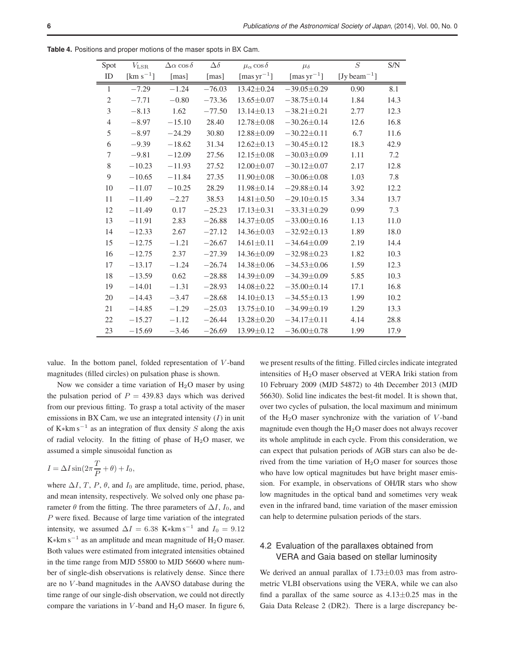| Spot           | $V_{\rm LSR}$   | $\Delta \alpha \cos \delta$ | $\Delta\delta$ | $\mu_{\alpha}$ cos $\delta$ | $\mu_{\delta}$    | $\cal S$                              | S/N  |
|----------------|-----------------|-----------------------------|----------------|-----------------------------|-------------------|---------------------------------------|------|
| ID             | [ $km s^{-1}$ ] | [mas]                       | [mas]          | [mas $\rm{yr}^{-1}$ ]       | [mas $yr^{-1}$ ]  | [Jy beam <sup><math>-1</math></sup> ] |      |
| $\mathbf{1}$   | $-7.29$         | $-1.24$                     | $-76.03$       | 13.42±0.24                  | $-39.05 \pm 0.29$ | 0.90                                  | 8.1  |
| $\mathbf{2}$   | $-7.71$         | $-0.80$                     | $-73.36$       | $13.65 \pm 0.07$            | $-38.75 \pm 0.14$ | 1.84                                  | 14.3 |
| $\overline{3}$ | $-8.13$         | 1.62                        | $-77.50$       | $13.14 \pm 0.13$            | $-38.21 \pm 0.21$ | 2.77                                  | 12.3 |
| 4              | $-8.97$         | $-15.10$                    | 28.40          | $12.78 \pm 0.08$            | $-30.26 \pm 0.14$ | 12.6                                  | 16.8 |
| 5              | $-8.97$         | $-24.29$                    | 30.80          | $12.88 \pm 0.09$            | $-30.22 \pm 0.11$ | 6.7                                   | 11.6 |
| 6              | $-9.39$         | $-18.62$                    | 31.34          | $12.62 \pm 0.13$            | $-30.45 \pm 0.12$ | 18.3                                  | 42.9 |
| 7              | $-9.81$         | $-12.09$                    | 27.56          | $12.15 \pm 0.08$            | $-30.03 \pm 0.09$ | 1.11                                  | 7.2  |
| $\,8\,$        | $-10.23$        | $-11.93$                    | 27.52          | $12.00 \pm 0.07$            | $-30.12 \pm 0.07$ | 2.17                                  | 12.8 |
| 9              | $-10.65$        | $-11.84$                    | 27.35          | $11.90 \pm 0.08$            | $-30.06 \pm 0.08$ | 1.03                                  | 7.8  |
| 10             | $-11.07$        | $-10.25$                    | 28.29          | $11.98 \pm 0.14$            | $-29.88 \pm 0.14$ | 3.92                                  | 12.2 |
| 11             | $-11.49$        | $-2.27$                     | 38.53          | $14.81 \pm 0.50$            | $-29.10\pm0.15$   | 3.34                                  | 13.7 |
| 12             | $-11.49$        | 0.17                        | $-25.23$       | $17.13 \pm 0.31$            | $-33.31 \pm 0.29$ | 0.99                                  | 7.3  |
| 13             | $-11.91$        | 2.83                        | $-26.88$       | $14.37 \pm 0.05$            | $-33.00 \pm 0.16$ | 1.13                                  | 11.0 |
| 14             | $-12.33$        | 2.67                        | $-27.12$       | $14.36 \pm 0.03$            | $-32.92 \pm 0.13$ | 1.89                                  | 18.0 |
| 15             | $-12.75$        | $-1.21$                     | $-26.67$       | $14.61 \pm 0.11$            | $-34.64 \pm 0.09$ | 2.19                                  | 14.4 |
| 16             | $-12.75$        | 2.37                        | $-27.39$       | 14.36±0.09                  | $-32.98 \pm 0.23$ | 1.82                                  | 10.3 |
| 17             | $-13.17$        | $-1.24$                     | $-26.74$       | $14.38 \pm 0.06$            | $-34.53 \pm 0.06$ | 1.59                                  | 12.3 |
| 18             | $-13.59$        | 0.62                        | $-28.88$       | 14.39±0.09                  | $-34.39\pm0.09$   | 5.85                                  | 10.3 |
| 19             | $-14.01$        | $-1.31$                     | $-28.93$       | $14.08 \pm 0.22$            | $-35.00 \pm 0.14$ | 17.1                                  | 16.8 |
| 20             | $-14.43$        | $-3.47$                     | $-28.68$       | $14.10 \pm 0.13$            | $-34.55\pm0.13$   | 1.99                                  | 10.2 |
| 21             | $-14.85$        | $-1.29$                     | $-25.03$       | $13.75 \pm 0.10$            | $-34.99\pm0.19$   | 1.29                                  | 13.3 |
| 22             | $-15.27$        | $-1.12$                     | $-26.44$       | $13.28 \pm 0.20$            | $-34.17\pm0.11$   | 4.14                                  | 28.8 |
| 23             | $-15.69$        | $-3.46$                     | $-26.69$       | $13.99 \pm 0.12$            | $-36.00 \pm 0.78$ | 1.99                                  | 17.9 |

**Table 4.** Positions and proper motions of the maser spots in BX Cam.

value. In the bottom panel, folded representation of V -band magnitudes (filled circles) on pulsation phase is shown.

Now we consider a time variation of  $H_2O$  maser by using the pulsation period of  $P = 439.83$  days which was derived from our previous fitting. To grasp a total activity of the maser emissions in BX Cam, we use an integrated intensity  $(I)$  in unit of K $*$ km s<sup>-1</sup> as an integration of flux density S along the axis of radial velocity. In the fitting of phase of  $H_2O$  maser, we assumed a simple sinusoidal function as

$$
I = \Delta I \sin(2\pi \frac{T}{P} + \theta) + I_0,
$$

where  $\Delta I$ , T, P,  $\theta$ , and  $I_0$  are amplitude, time, period, phase, and mean intensity, respectively. We solved only one phase parameter  $\theta$  from the fitting. The three parameters of  $\Delta I$ ,  $I_0$ , and P were fixed. Because of large time variation of the integrated intensity, we assumed  $\Delta I = 6.38$  K∗km s<sup>-1</sup> and  $I_0 = 9.12$ K∗km s<sup>-1</sup> as an amplitude and mean magnitude of H<sub>2</sub>O maser. Both values were estimated from integrated intensities obtained in the time range from MJD 55800 to MJD 56600 where number of single-dish observations is relatively dense. Since there are no V -band magnitudes in the AAVSO database during the time range of our single-dish observation, we could not directly compare the variations in V-band and  $H_2O$  maser. In figure 6,

we present results of the fitting. Filled circles indicate integrated intensities of H2O maser observed at VERA Iriki station from 10 February 2009 (MJD 54872) to 4th December 2013 (MJD 56630). Solid line indicates the best-fit model. It is shown that, over two cycles of pulsation, the local maximum and minimum of the H<sub>2</sub>O maser synchronize with the variation of V-band magnitude even though the  $H_2O$  maser does not always recover its whole amplitude in each cycle. From this consideration, we can expect that pulsation periods of AGB stars can also be derived from the time variation of  $H_2O$  maser for sources those who have low optical magnitudes but have bright maser emission. For example, in observations of OH/IR stars who show low magnitudes in the optical band and sometimes very weak even in the infrared band, time variation of the maser emission can help to determine pulsation periods of the stars.

# 4.2 Evaluation of the parallaxes obtained from VERA and Gaia based on stellar luminosity

We derived an annual parallax of 1.73 $\pm$ 0.03 mas from astrometric VLBI observations using the VERA, while we can also find a parallax of the same source as  $4.13\pm0.25$  mas in the Gaia Data Release 2 (DR2). There is a large discrepancy be-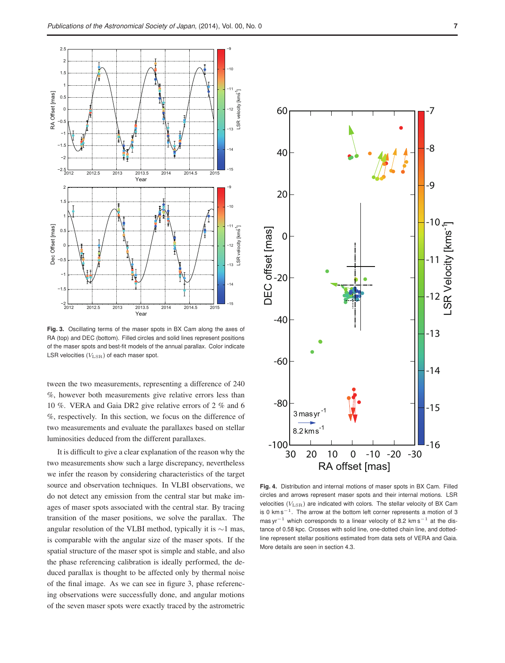

**Fig. 3.** Oscillating terms of the maser spots in BX Cam along the axes of RA (top) and DEC (bottom). Filled circles and solid lines represent positions of the maser spots and best-fit models of the annual parallax. Color indicate LSR velocities  $(V_{\rm LSR})$  of each maser spot.

tween the two measurements, representing a difference of 240 %, however both measurements give relative errors less than 10 %. VERA and Gaia DR2 give relative errors of 2 % and 6 %, respectively. In this section, we focus on the difference of two measurements and evaluate the parallaxes based on stellar luminosities deduced from the different parallaxes.

It is difficult to give a clear explanation of the reason why the two measurements show such a large discrepancy, nevertheless we infer the reason by considering characteristics of the target source and observation techniques. In VLBI observations, we do not detect any emission from the central star but make images of maser spots associated with the central star. By tracing transition of the maser positions, we solve the parallax. The angular resolution of the VLBI method, typically it is ∼1 mas, is comparable with the angular size of the maser spots. If the spatial structure of the maser spot is simple and stable, and also the phase referencing calibration is ideally performed, the deduced parallax is thought to be affected only by thermal noise of the final image. As we can see in figure 3, phase referencing observations were successfully done, and angular motions of the seven maser spots were exactly traced by the astrometric



**Fig. 4.** Distribution and internal motions of maser spots in BX Cam. Filled circles and arrows represent maser spots and their internal motions. LSR velocities  $(V_{\rm LSR})$  are indicated with colors. The stellar velocity of BX Cam is 0  $km s^{-1}$ . The arrow at the bottom left corner represents a motion of 3 mas yr<sup>-1</sup> which corresponds to a linear velocity of 8.2 km s<sup>-1</sup> at the distance of 0.58 kpc. Crosses with solid line, one-dotted chain line, and dottedline represent stellar positions estimated from data sets of VERA and Gaia. More details are seen in section 4.3.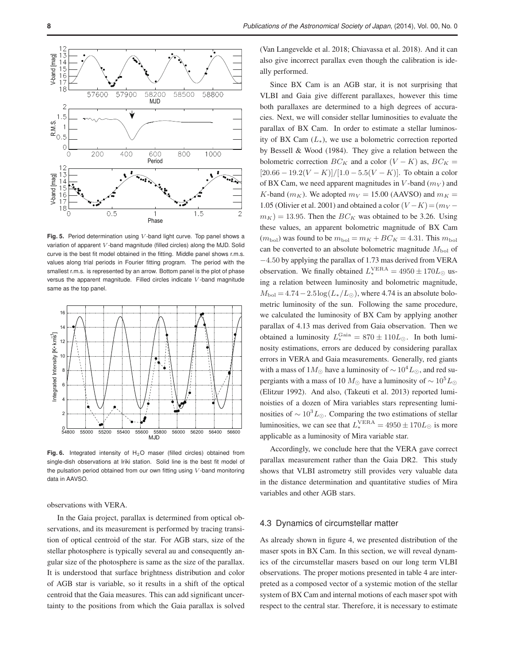

Fig. 5. Period determination using V-band light curve. Top panel shows a variation of apparent  $V$ -band magnitude (filled circles) along the MJD. Solid curve is the best fit model obtained in the fitting. Middle panel shows r.m.s. values along trial periods in Fourier fitting program. The period with the smallest r.m.s. is represented by an arrow. Bottom panel is the plot of phase versus the apparent magnitude. Filled circles indicate V -band magnitude same as the top panel.



**Fig. 6.** Integrated intensity of  $H_2O$  maser (filled circles) obtained from single-dish observations at Iriki station. Solid line is the best fit model of the pulsation period obtained from our own fitting using  $V$ -band monitoring data in AAVSO.

observations with VERA.

In the Gaia project, parallax is determined from optical observations, and its measurement is performed by tracing transition of optical centroid of the star. For AGB stars, size of the stellar photosphere is typically several au and consequently angular size of the photosphere is same as the size of the parallax. It is understood that surface brightness distribution and color of AGB star is variable, so it results in a shift of the optical centroid that the Gaia measures. This can add significant uncertainty to the positions from which the Gaia parallax is solved (Van Langevelde et al. 2018; Chiavassa et al. 2018). And it can also give incorrect parallax even though the calibration is ideally performed.

Since BX Cam is an AGB star, it is not surprising that VLBI and Gaia give different parallaxes, however this time both parallaxes are determined to a high degrees of accuracies. Next, we will consider stellar luminosities to evaluate the parallax of BX Cam. In order to estimate a stellar luminosity of BX Cam  $(L_*)$ , we use a bolometric correction reported by Bessell & Wood (1984). They give a relation between the bolometric correction  $BC_K$  and a color  $(V - K)$  as,  $BC_K =$  $[20.66 - 19.2(V - K)]/[1.0 - 5.5(V - K)]$ . To obtain a color of BX Cam, we need apparent magnitudes in V-band  $(m_V)$  and K-band ( $m_K$ ). We adopted  $m_V = 15.00$  (AAVSO) and  $m_K =$ 1.05 (Olivier et al. 2001) and obtained a color  $(V - K) = (m_V$  $m_K$ ) = 13.95. Then the  $BC_K$  was obtained to be 3.26. Using these values, an apparent bolometric magnitude of BX Cam  $(m_{\text{bol}})$  was found to be  $m_{\text{bol}} = m_K + BC_K = 4.31$ . This  $m_{\text{bol}}$ can be converted to an absolute bolometric magnitude  $M_{\text{bol}}$  of −4.50 by applying the parallax of 1.73 mas derived from VERA observation. We finally obtained  $L_*^{\text{VERA}} = 4950 \pm 170 L_{\odot}$  using a relation between luminosity and bolometric magnitude,  $M_{\text{bol}} = 4.74 - 2.5 \log(L_*/L_{\odot})$ , where 4.74 is an absolute bolometric luminosity of the sun. Following the same procedure, we calculated the luminosity of BX Cam by applying another parallax of 4.13 mas derived from Gaia observation. Then we obtained a luminosity  $L_{\ast}^{\text{Gaia}} = 870 \pm 110 L_{\odot}$ . In both luminosity estimations, errors are deduced by considering parallax errors in VERA and Gaia measurements. Generally, red giants with a mass of 1 $M_{\odot}$  have a luminosity of  $\sim 10^4 L_{\odot}$ , and red supergiants with a mass of 10  $M_{\odot}$  have a luminosity of  $\sim 10^5 L_{\odot}$ (Elitzur 1992). And also, (Takeuti et al. 2013) reported luminoisties of a dozen of Mira variables stars representing luminosities of  $\sim 10^3 L_{\odot}$ . Comparing the two estimations of stellar luminosities, we can see that  $L_{\ast}^{\text{VERA}} = 4950 \pm 170 L_{\odot}$  is more applicable as a luminosity of Mira variable star.

Accordingly, we conclude here that the VERA gave correct parallax measurement rather than the Gaia DR2. This study shows that VLBI astrometry still provides very valuable data in the distance determination and quantitative studies of Mira variables and other AGB stars.

#### 4.3 Dynamics of circumstellar matter

As already shown in figure 4, we presented distribution of the maser spots in BX Cam. In this section, we will reveal dynamics of the circumstellar masers based on our long term VLBI observations. The proper motions presented in table 4 are interpreted as a composed vector of a systemic motion of the stellar system of BX Cam and internal motions of each maser spot with respect to the central star. Therefore, it is necessary to estimate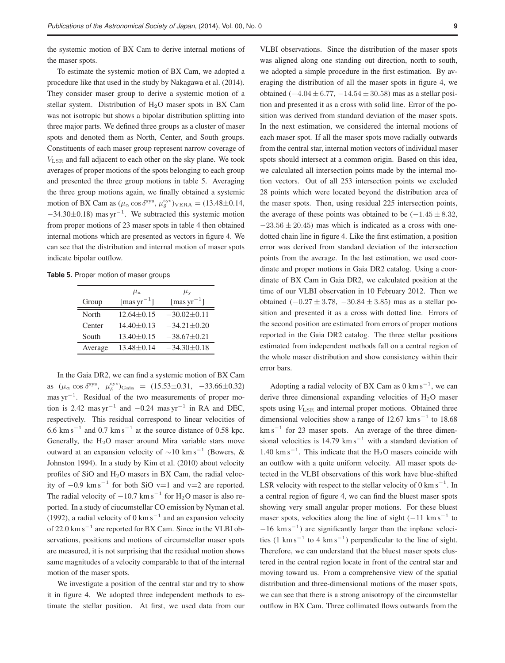the systemic motion of BX Cam to derive internal motions of the maser spots.

To estimate the systemic motion of BX Cam, we adopted a procedure like that used in the study by Nakagawa et al. (2014). They consider maser group to derive a systemic motion of a stellar system. Distribution of  $H<sub>2</sub>O$  maser spots in BX Cam was not isotropic but shows a bipolar distribution splitting into three major parts. We defined three groups as a cluster of maser spots and denoted them as North, Center, and South groups. Constituents of each maser group represent narrow coverage of VLSR and fall adjacent to each other on the sky plane. We took averages of proper motions of the spots belonging to each group and presented the three group motions in table 5. Averaging the three group motions again, we finally obtained a systemic motion of BX Cam as  $(\mu_{\alpha} \cos \delta^{\rm sys}, \mu_{\delta}^{\rm sys})_{\rm VERA} = (13.48 \pm 0.14,$  $-34.30 \pm 0.18$ ) mas yr<sup>-1</sup>. We subtracted this systemic motion from proper motions of 23 maser spots in table 4 then obtained internal motions which are presented as vectors in figure 4. We can see that the distribution and internal motion of maser spots indicate bipolar outflow.

**Table 5.** Proper motion of maser groups

|         | $\mu_{\rm x}$           | $\mu_{\rm v}$         |  |  |  |  |
|---------|-------------------------|-----------------------|--|--|--|--|
| Group   | [mas $\text{yr}^{-1}$ ] | [mas $\rm{yr}^{-1}$ ] |  |  |  |  |
| North   | $12.64 \pm 0.15$        | $-30.02 \pm 0.11$     |  |  |  |  |
| Center  | $14.40 \pm 0.13$        | $-34.21 + 0.20$       |  |  |  |  |
| South   | $13.40 \pm 0.15$        | $-38.67 \pm 0.21$     |  |  |  |  |
| Average | $13.48 \pm 0.14$        | $-34.30 \pm 0.18$     |  |  |  |  |

In the Gaia DR2, we can find a systemic motion of BX Cam as  $(\mu_{\alpha} \cos \delta^{\rm sys}, \ \mu_{\delta}^{\rm sys})_{\rm Gaia} = (15.53 \pm 0.31, -33.66 \pm 0.32)$ mas yr<sup>-1</sup>. Residual of the two measurements of proper motion is 2.42 mas yr<sup>-1</sup> and  $-0.24$  mas yr<sup>-1</sup> in RA and DEC, respectively. This residual correspond to linear velocities of 6.6 km s<sup> $-1$ </sup> and 0.7 km s<sup> $-1$ </sup> at the source distance of 0.58 kpc. Generally, the  $H<sub>2</sub>O$  maser around Mira variable stars move outward at an expansion velocity of  $\sim 10 \text{ km s}^{-1}$  (Bowers, & Johnston 1994). In a study by Kim et al. (2010) about velocity profiles of SiO and H2O masers in BX Cam, the radial velocity of  $-0.9 \text{ km s}^{-1}$  for both SiO v=1 and v=2 are reported. The radial velocity of  $-10.7 \text{ km s}^{-1}$  for H<sub>2</sub>O maser is also reported. In a study of ciucumstellar CO emission by Nyman et al. (1992), a radial velocity of 0 km s<sup> $-1$ </sup> and an expansion velocity of 22.0 km s<sup> $-1$ </sup> are reported for BX Cam. Since in the VLBI observations, positions and motions of circumstellar maser spots are measured, it is not surprising that the residual motion shows same magnitudes of a velocity comparable to that of the internal motion of the maser spots.

We investigate a position of the central star and try to show it in figure 4. We adopted three independent methods to estimate the stellar position. At first, we used data from our

VLBI observations. Since the distribution of the maser spots was aligned along one standing out direction, north to south, we adopted a simple procedure in the first estimation. By averaging the distribution of all the maser spots in figure 4, we obtained  $(-4.04 \pm 6.77, -14.54 \pm 30.58)$  mas as a stellar position and presented it as a cross with solid line. Error of the position was derived from standard deviation of the maser spots. In the next estimation, we considered the internal motions of each maser spot. If all the maser spots move radially outwards from the central star, internal motion vectors of individual maser spots should intersect at a common origin. Based on this idea, we calculated all intersection points made by the internal motion vectors. Out of all 253 intersection points we excluded 28 points which were located beyond the distribution area of the maser spots. Then, using residual 225 intersection points, the average of these points was obtained to be  $(-1.45 \pm 8.32,$  $-23.56 \pm 20.45$ ) mas which is indicated as a cross with onedotted chain line in figure 4. Like the first estimation, a position error was derived from standard deviation of the intersection points from the average. In the last estimation, we used coordinate and proper motions in Gaia DR2 catalog. Using a coordinate of BX Cam in Gaia DR2, we calculated position at the time of our VLBI observation in 10 February 2012. Then we obtained (−0.27 ± 3.78, −30.84 ± 3.85) mas as a stellar position and presented it as a cross with dotted line. Errors of the second position are estimated from errors of proper motions reported in the Gaia DR2 catalog. The three stellar positions estimated from independent methods fall on a central region of the whole maser distribution and show consistency within their error bars.

Adopting a radial velocity of BX Cam as  $0 \text{ km s}^{-1}$ , we can derive three dimensional expanding velocities of  $H_2O$  maser spots using  $V_{\text{LSR}}$  and internal proper motions. Obtained three dimensional velocities show a range of 12.67  $\text{km s}^{-1}$  to 18.68 km s<sup>-1</sup> for 23 maser spots. An average of the three dimensional velocities is  $14.79 \text{ km s}^{-1}$  with a standard deviation of  $1.40 \text{ km s}^{-1}$ . This indicate that the H<sub>2</sub>O masers coincide with an outflow with a quite uniform velocity. All maser spots detected in the VLBI observations of this work have blue-shifted LSR velocity with respect to the stellar velocity of 0 km s<sup> $-1$ </sup>. In a central region of figure 4, we can find the bluest maser spots showing very small angular proper motions. For these bluest maser spots, velocities along the line of sight  $(-11 \text{ km s}^{-1})$  $-16$  km s<sup>-1</sup>) are significantly larger than the inplane velocities (1 km s<sup>-1</sup> to 4 km s<sup>-1</sup>) perpendicular to the line of sight. Therefore, we can understand that the bluest maser spots clustered in the central region locate in front of the central star and moving toward us. From a comprehensive view of the spatial distribution and three-dimensional motions of the maser spots, we can see that there is a strong anisotropy of the circumstellar outflow in BX Cam. Three collimated flows outwards from the